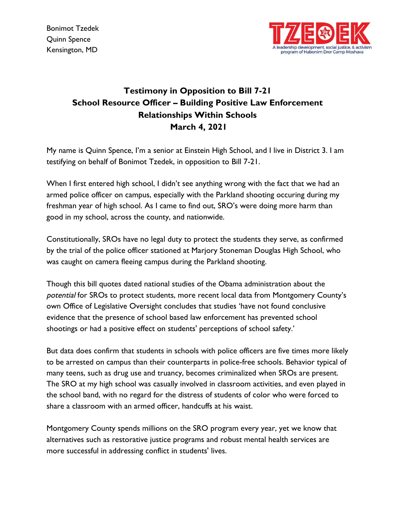

## **Testimony in Opposition to Bill 7-21 School Resource Officer – Building Positive Law Enforcement Relationships Within Schools March 4, 2021**

My name is Quinn Spence, I'm a senior at Einstein High School, and I live in District 3. I am testifying on behalf of Bonimot Tzedek, in opposition to Bill 7-21.

When I first entered high school, I didn't see anything wrong with the fact that we had an armed police officer on campus, especially with the Parkland shooting occuring during my freshman year of high school. As I came to find out, SRO's were doing more harm than good in my school, across the county, and nationwide.

Constitutionally, SROs have no legal duty to protect the students they serve, as confirmed by the trial of the police officer stationed at Marjory Stoneman Douglas High School, who was caught on camera fleeing campus during the Parkland shooting.

Though this bill quotes dated national studies of the Obama administration about the potential for SROs to protect students, more recent local data from Montgomery County's own Office of Legislative Oversight concludes that studies 'have not found conclusive evidence that the presence of school based law enforcement has prevented school shootings or had a positive effect on students' perceptions of school safety.'

But data does confirm that students in schools with police officers are five times more likely to be arrested on campus than their counterparts in police-free schools. Behavior typical of many teens, such as drug use and truancy, becomes criminalized when SROs are present. The SRO at my high school was casually involved in classroom activities, and even played in the school band, with no regard for the distress of students of color who were forced to share a classroom with an armed officer, handcuffs at his waist.

Montgomery County spends millions on the SRO program every year, yet we know that alternatives such as restorative justice programs and robust mental health services are more successful in addressing conflict in students' lives.